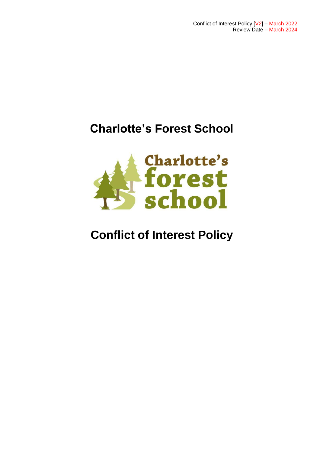# **Charlotte's Forest School**



# **Conflict of Interest Policy**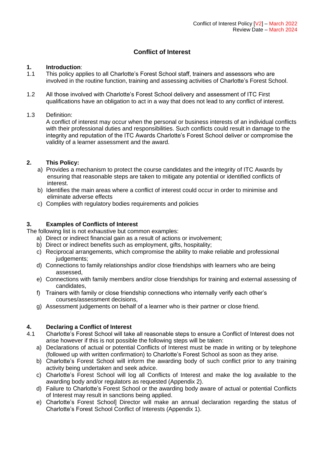### **Conflict of Interest**

#### **1. Introduction**:

- 1.1 This policy applies to all Charlotte's Forest School staff, trainers and assessors who are involved in the routine function, training and assessing activities of Charlotte's Forest School.
- 1.2 All those involved with Charlotte's Forest School delivery and assessment of ITC First qualifications have an obligation to act in a way that does not lead to any conflict of interest.

#### 1.3 Definition:

A conflict of interest may occur when the personal or business interests of an individual conflicts with their professional duties and responsibilities. Such conflicts could result in damage to the integrity and reputation of the ITC Awards Charlotte's Forest School deliver or compromise the validity of a learner assessment and the award.

#### **2. This Policy:**

- a) Provides a mechanism to protect the course candidates and the integrity of ITC Awards by ensuring that reasonable steps are taken to mitigate any potential or identified conflicts of interest.
- b) Identifies the main areas where a conflict of interest could occur in order to minimise and eliminate adverse effects
- c) Complies with regulatory bodies requirements and policies

#### **3. Examples of Conflicts of Interest**

The following list is not exhaustive but common examples:

- a) Direct or indirect financial gain as a result of actions or involvement;
- b) Direct or indirect benefits such as employment, gifts, hospitality;
- c) Reciprocal arrangements, which compromise the ability to make reliable and professional judgements;
- d) Connections to family relationships and/or close friendships with learners who are being assessed,
- e) Connections with family members and/or close friendships for training and external assessing of candidates,
- f) Trainers with family or close friendship connections who internally verify each other's courses/assessment decisions,
- g) Assessment judgements on behalf of a learner who is their partner or close friend.

#### **4. Declaring a Conflict of Interest**

- 4.1 Charlotte's Forest School will take all reasonable steps to ensure a Conflict of Interest does not arise however if this is not possible the following steps will be taken:
	- a) Declarations of actual or potential Conflicts of Interest must be made in writing or by telephone (followed up with written confirmation) to Charlotte's Forest School as soon as they arise.
	- b) Charlotte's Forest School will inform the awarding body of such conflict prior to any training activity being undertaken and seek advice.
	- c) Charlotte's Forest School will log all Conflicts of Interest and make the log available to the awarding body and/or regulators as requested (Appendix 2).
	- d) Failure to Charlotte's Forest School or the awarding body aware of actual or potential Conflicts of Interest may result in sanctions being applied.
	- e) Charlotte's Forest School] Director will make an annual declaration regarding the status of Charlotte's Forest School Conflict of Interests (Appendix 1).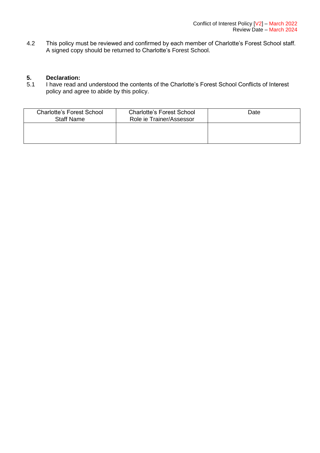4.2 This policy must be reviewed and confirmed by each member of Charlotte's Forest School staff. A signed copy should be returned to Charlotte's Forest School.

## **5. Declaration:**

I have read and understood the contents of the Charlotte's Forest School Conflicts of Interest policy and agree to abide by this policy.

| <b>Charlotte's Forest School</b><br><b>Staff Name</b> | <b>Charlotte's Forest School</b><br>Role ie Trainer/Assessor | Date |
|-------------------------------------------------------|--------------------------------------------------------------|------|
|                                                       |                                                              |      |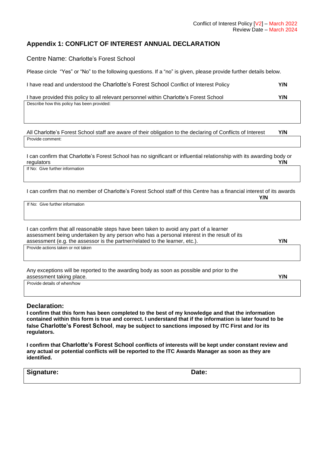#### **Appendix 1: CONFLICT OF INTEREST ANNUAL DECLARATION**

Centre Name: Charlotte's Forest School

Please circle "Yes" or "No" to the following questions. If a "no" is given, please provide further details below.

| I have read and understood the Charlotte's Forest School Conflict of Interest Policy | Y/N |
|--------------------------------------------------------------------------------------|-----|
|--------------------------------------------------------------------------------------|-----|

I have provided this policy to all relevant personnel within Charlotte's Forest School **Y/N**

Describe how this policy has been provided:

All Charlotte's Forest School staff are aware of their obligation to the declaring of Conflicts of Interest **Y/N** Provide comment:

I can confirm that Charlotte's Forest School has no significant or influential relationship with its awarding body or regulators **Y/N**

If No: Give further information

I can confirm that no member of Charlotte's Forest School staff of this Centre has a financial interest of its awards **Y/N**

If No: Give further information

Provide actions taken or not taken I can confirm that all reasonable steps have been taken to avoid any part of a learner assessment being undertaken by any person who has a personal interest in the result of its assessment (e.g. the assessor is the partner/related to the learner, etc.). **Y/N**

Any exceptions will be reported to the awarding body as soon as possible and prior to the assessment taking place. **Y/N**

Provide details of when/how

#### **Declaration:**

**I confirm that this form has been completed to the best of my knowledge and that the information contained within this form is true and correct. I understand that if the information is later found to be false Charlotte's Forest School**, **may be subject to sanctions imposed by ITC First and /or its regulators.**

**I confirm that Charlotte's Forest School conflicts of interests will be kept under constant review and any actual or potential conflicts will be reported to the ITC Awards Manager as soon as they are identified.**

| Signature: | Date: |
|------------|-------|
|------------|-------|